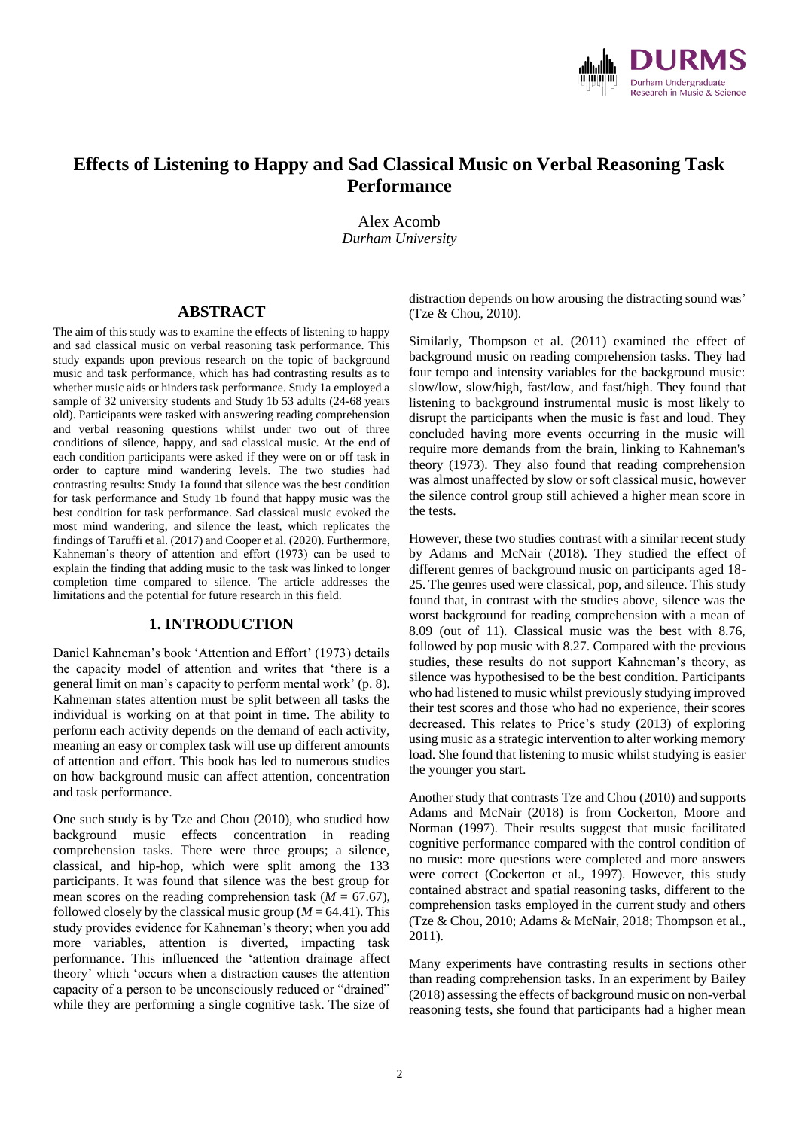

# **Effects of Listening to Happy and Sad Classical Music on Verbal Reasoning Task Performance**

Alex Acomb *Durham University*

#### **ABSTRACT**

The aim of this study was to examine the effects of listening to happy and sad classical music on verbal reasoning task performance. This study expands upon previous research on the topic of background music and task performance, which has had contrasting results as to whether music aids or hinders task performance. Study 1a employed a sample of 32 university students and Study 1b 53 adults (24-68 years old). Participants were tasked with answering reading comprehension and verbal reasoning questions whilst under two out of three conditions of silence, happy, and sad classical music. At the end of each condition participants were asked if they were on or off task in order to capture mind wandering levels. The two studies had contrasting results: Study 1a found that silence was the best condition for task performance and Study 1b found that happy music was the best condition for task performance. Sad classical music evoked the most mind wandering, and silence the least, which replicates the findings of Taruffi et al. (2017) and Cooper et al. (2020). Furthermore, Kahneman's theory of attention and effort (1973) can be used to explain the finding that adding music to the task was linked to longer completion time compared to silence. The article addresses the limitations and the potential for future research in this field.

### **1. INTRODUCTION**

Daniel Kahneman's book 'Attention and Effort' (1973) details the capacity model of attention and writes that 'there is a general limit on man's capacity to perform mental work' (p. 8). Kahneman states attention must be split between all tasks the individual is working on at that point in time. The ability to perform each activity depends on the demand of each activity, meaning an easy or complex task will use up different amounts of attention and effort. This book has led to numerous studies on how background music can affect attention, concentration and task performance.

One such study is by Tze and Chou (2010), who studied how background music effects concentration in reading comprehension tasks. There were three groups; a silence, classical, and hip-hop, which were split among the 133 participants. It was found that silence was the best group for mean scores on the reading comprehension task  $(M = 67.67)$ , followed closely by the classical music group  $(M = 64.41)$ . This study provides evidence for Kahneman's theory; when you add more variables, attention is diverted, impacting task performance. This influenced the 'attention drainage affect theory' which 'occurs when a distraction causes the attention capacity of a person to be unconsciously reduced or "drained" while they are performing a single cognitive task. The size of distraction depends on how arousing the distracting sound was' (Tze & Chou, 2010).

Similarly, Thompson et al. (2011) examined the effect of background music on reading comprehension tasks. They had four tempo and intensity variables for the background music: slow/low, slow/high, fast/low, and fast/high. They found that listening to background instrumental music is most likely to disrupt the participants when the music is fast and loud. They concluded having more events occurring in the music will require more demands from the brain, linking to Kahneman's theory (1973). They also found that reading comprehension was almost unaffected by slow or soft classical music, however the silence control group still achieved a higher mean score in the tests.

However, these two studies contrast with a similar recent study by Adams and McNair (2018). They studied the effect of different genres of background music on participants aged 18- 25. The genres used were classical, pop, and silence. This study found that, in contrast with the studies above, silence was the worst background for reading comprehension with a mean of 8.09 (out of 11). Classical music was the best with 8.76, followed by pop music with 8.27. Compared with the previous studies, these results do not support Kahneman's theory, as silence was hypothesised to be the best condition. Participants who had listened to music whilst previously studying improved their test scores and those who had no experience, their scores decreased. This relates to Price's study (2013) of exploring using music as a strategic intervention to alter working memory load. She found that listening to music whilst studying is easier the younger you start.

Another study that contrasts Tze and Chou (2010) and supports Adams and McNair (2018) is from Cockerton, Moore and Norman (1997). Their results suggest that music facilitated cognitive performance compared with the control condition of no music: more questions were completed and more answers were correct (Cockerton et al., 1997). However, this study contained abstract and spatial reasoning tasks, different to the comprehension tasks employed in the current study and others (Tze & Chou, 2010; Adams & McNair, 2018; Thompson et al., 2011).

Many experiments have contrasting results in sections other than reading comprehension tasks. In an experiment by Bailey (2018) assessing the effects of background music on non-verbal reasoning tests, she found that participants had a higher mean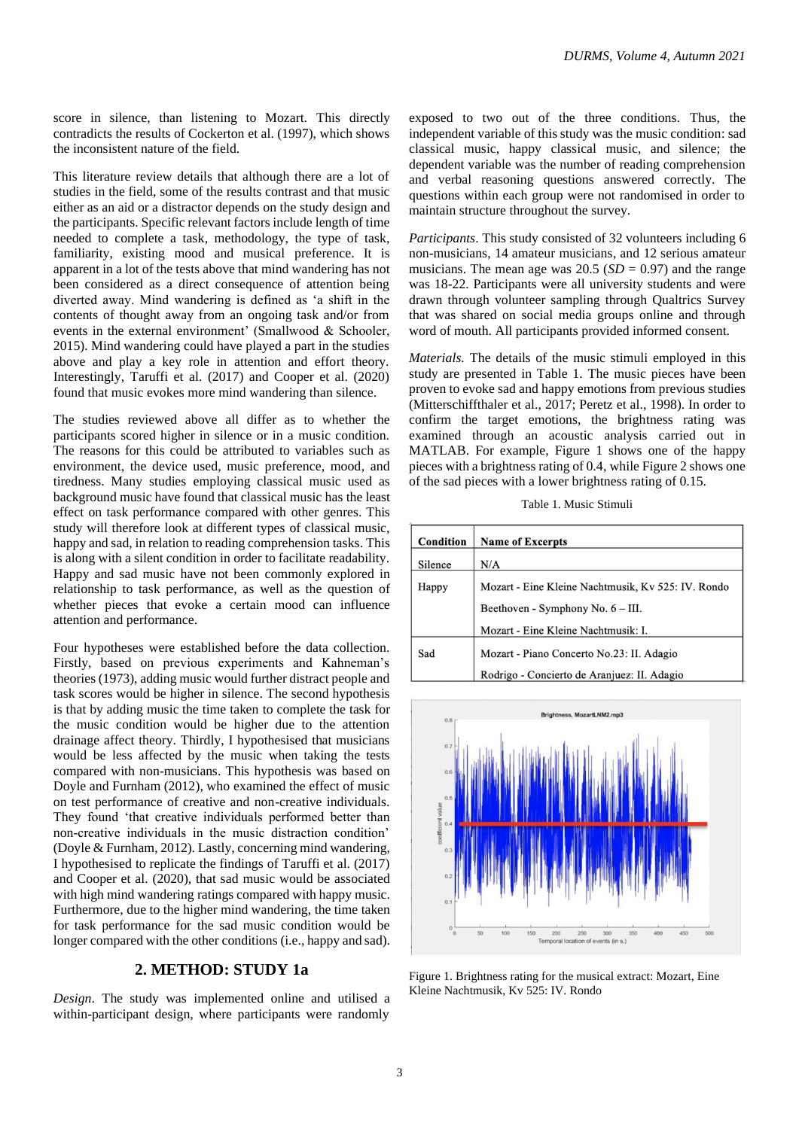score in silence, than listening to Mozart. This directly contradicts the results of Cockerton et al. (1997), which shows the inconsistent nature of the field.

This literature review details that although there are a lot of studies in the field, some of the results contrast and that music either as an aid or a distractor depends on the study design and the participants. Specific relevant factors include length of time needed to complete a task, methodology, the type of task, familiarity, existing mood and musical preference. It is apparent in a lot of the tests above that mind wandering has not been considered as a direct consequence of attention being diverted away. Mind wandering is defined as 'a shift in the contents of thought away from an ongoing task and/or from events in the external environment' (Smallwood & Schooler, 2015). Mind wandering could have played a part in the studies above and play a key role in attention and effort theory. Interestingly, Taruffi et al. (2017) and Cooper et al. (2020) found that music evokes more mind wandering than silence.

The studies reviewed above all differ as to whether the participants scored higher in silence or in a music condition. The reasons for this could be attributed to variables such as environment, the device used, music preference, mood, and tiredness. Many studies employing classical music used as background music have found that classical music has the least effect on task performance compared with other genres. This study will therefore look at different types of classical music, happy and sad, in relation to reading comprehension tasks. This is along with a silent condition in order to facilitate readability. Happy and sad music have not been commonly explored in relationship to task performance, as well as the question of whether pieces that evoke a certain mood can influence attention and performance.

Four hypotheses were established before the data collection. Firstly, based on previous experiments and Kahneman's theories (1973), adding music would further distract people and task scores would be higher in silence. The second hypothesis is that by adding music the time taken to complete the task for the music condition would be higher due to the attention drainage affect theory. Thirdly, I hypothesised that musicians would be less affected by the music when taking the tests compared with non-musicians. This hypothesis was based on Doyle and Furnham (2012), who examined the effect of music on test performance of creative and non-creative individuals. They found 'that creative individuals performed better than non-creative individuals in the music distraction condition' (Doyle & Furnham, 2012). Lastly, concerning mind wandering, I hypothesised to replicate the findings of Taruffi et al. (2017) and Cooper et al. (2020), that sad music would be associated with high mind wandering ratings compared with happy music. Furthermore, due to the higher mind wandering, the time taken for task performance for the sad music condition would be longer compared with the other conditions (i.e., happy and sad).

### **2. METHOD: STUDY 1a**

*Design*. The study was implemented online and utilised a within-participant design, where participants were randomly exposed to two out of the three conditions. Thus, the independent variable of this study was the music condition: sad classical music, happy classical music, and silence; the dependent variable was the number of reading comprehension and verbal reasoning questions answered correctly. The questions within each group were not randomised in order to maintain structure throughout the survey.

*Participants*. This study consisted of 32 volunteers including 6 non-musicians, 14 amateur musicians, and 12 serious amateur musicians. The mean age was  $20.5$  ( $SD = 0.97$ ) and the range was 18-22. Participants were all university students and were drawn through volunteer sampling through Qualtrics Survey that was shared on social media groups online and through word of mouth. All participants provided informed consent.

*Materials.* The details of the music stimuli employed in this study are presented in Table 1. The music pieces have been proven to evoke sad and happy emotions from previous studies (Mitterschiffthaler et al., 2017; Peretz et al., 1998). In order to confirm the target emotions, the brightness rating was examined through an acoustic analysis carried out in MATLAB. For example, Figure 1 shows one of the happy pieces with a brightness rating of 0.4, while Figure 2 shows one of the sad pieces with a lower brightness rating of 0.15.

Table 1. Music Stimuli

| Condition | <b>Name of Excerpts</b>                            |
|-----------|----------------------------------------------------|
| Silence   | N/A                                                |
| Happy     | Mozart - Eine Kleine Nachtmusik, Kv 525: IV. Rondo |
|           | Beethoven - Symphony No. $6 - III$ .               |
|           | Mozart - Eine Kleine Nachtmusik: I.                |
| Sad       | Mozart - Piano Concerto No.23: II. Adagio          |
|           | Rodrigo - Concierto de Aranjuez: II. Adagio        |



Figure 1. Brightness rating for the musical extract: Mozart, Eine Kleine Nachtmusik, Kv 525: IV. Rondo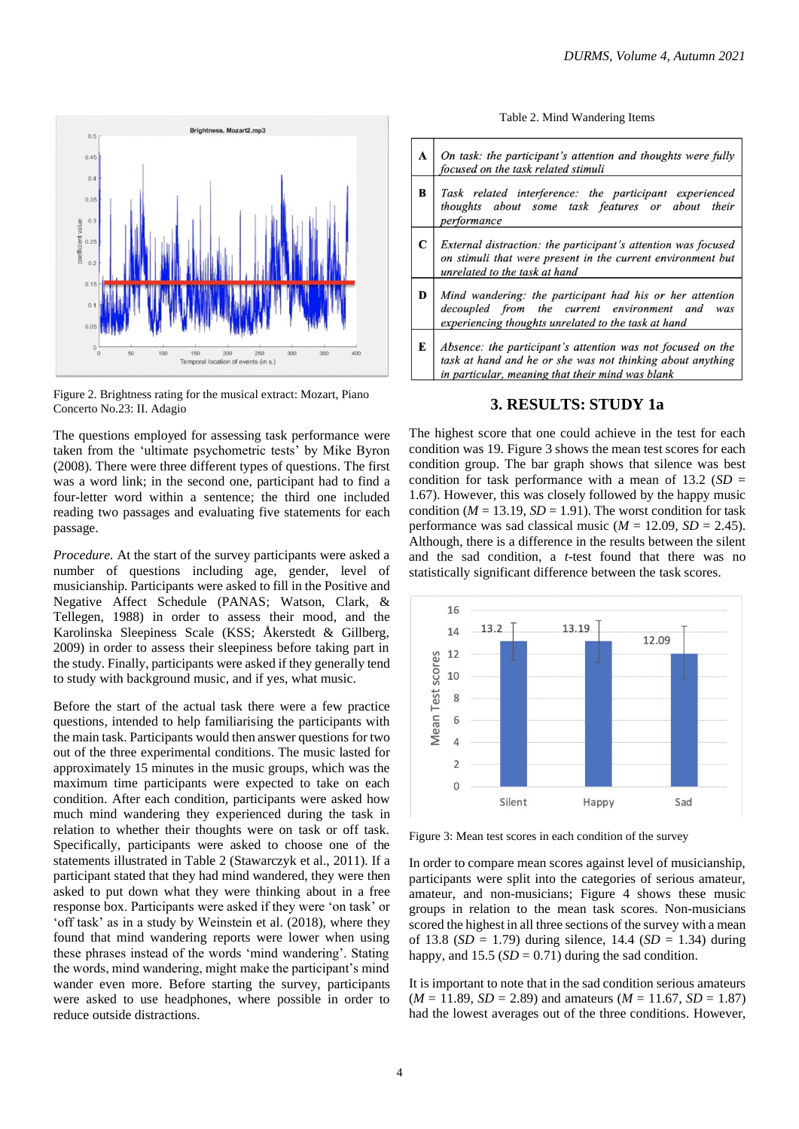

Figure 2. Brightness rating for the musical extract: Mozart, Piano Concerto No.23: II. Adagio

The questions employed for assessing task performance were taken from the 'ultimate psychometric tests' by Mike Byron (2008). There were three different types of questions. The first was a word link; in the second one, participant had to find a four-letter word within a sentence; the third one included reading two passages and evaluating five statements for each passage.

*Procedure.* At the start of the survey participants were asked a number of questions including age, gender, level of musicianship. Participants were asked to fill in the Positive and Negative Affect Schedule (PANAS; Watson, Clark, & Tellegen, 1988) in order to assess their mood, and the Karolinska Sleepiness Scale (KSS; Åkerstedt & Gillberg, 2009) in order to assess their sleepiness before taking part in the study. Finally, participants were asked if they generally tend to study with background music, and if yes, what music.

Before the start of the actual task there were a few practice questions, intended to help familiarising the participants with the main task.Participants would then answer questions for two out of the three experimental conditions. The music lasted for approximately 15 minutes in the music groups, which was the maximum time participants were expected to take on each condition. After each condition, participants were asked how much mind wandering they experienced during the task in relation to whether their thoughts were on task or off task. Specifically, participants were asked to choose one of the statements illustrated in Table 2 (Stawarczyk et al., 2011). If a participant stated that they had mind wandered, they were then asked to put down what they were thinking about in a free response box. Participants were asked if they were 'on task' or 'off task' as in a study by Weinstein et al. (2018), where they found that mind wandering reports were lower when using these phrases instead of the words 'mind wandering'. Stating the words, mind wandering, might make the participant's mind wander even more. Before starting the survey, participants were asked to use headphones, where possible in order to reduce outside distractions.

Table 2. Mind Wandering Items



#### **3. RESULTS: STUDY 1a**

The highest score that one could achieve in the test for each condition was 19. Figure 3 shows the mean test scores for each condition group. The bar graph shows that silence was best condition for task performance with a mean of  $13.2$  (*SD* = 1.67). However, this was closely followed by the happy music condition ( $M = 13.19$ ,  $SD = 1.91$ ). The worst condition for task performance was sad classical music  $(M = 12.09, SD = 2.45)$ . Although, there is a difference in the results between the silent and the sad condition, a *t*-test found that there was no statistically significant difference between the task scores.



Figure 3: Mean test scores in each condition of the survey

In order to compare mean scores against level of musicianship, participants were split into the categories of serious amateur, amateur, and non-musicians; Figure 4 shows these music groups in relation to the mean task scores. Non-musicians scored the highest in all three sections of the survey with a mean of 13.8 (*SD* = 1.79) during silence, 14.4 (*SD* = 1.34) during happy, and  $15.5$  (*SD* = 0.71) during the sad condition.

It is important to note that in the sad condition serious amateurs  $(M = 11.89, SD = 2.89)$  and amateurs  $(M = 11.67, SD = 1.87)$ had the lowest averages out of the three conditions. However,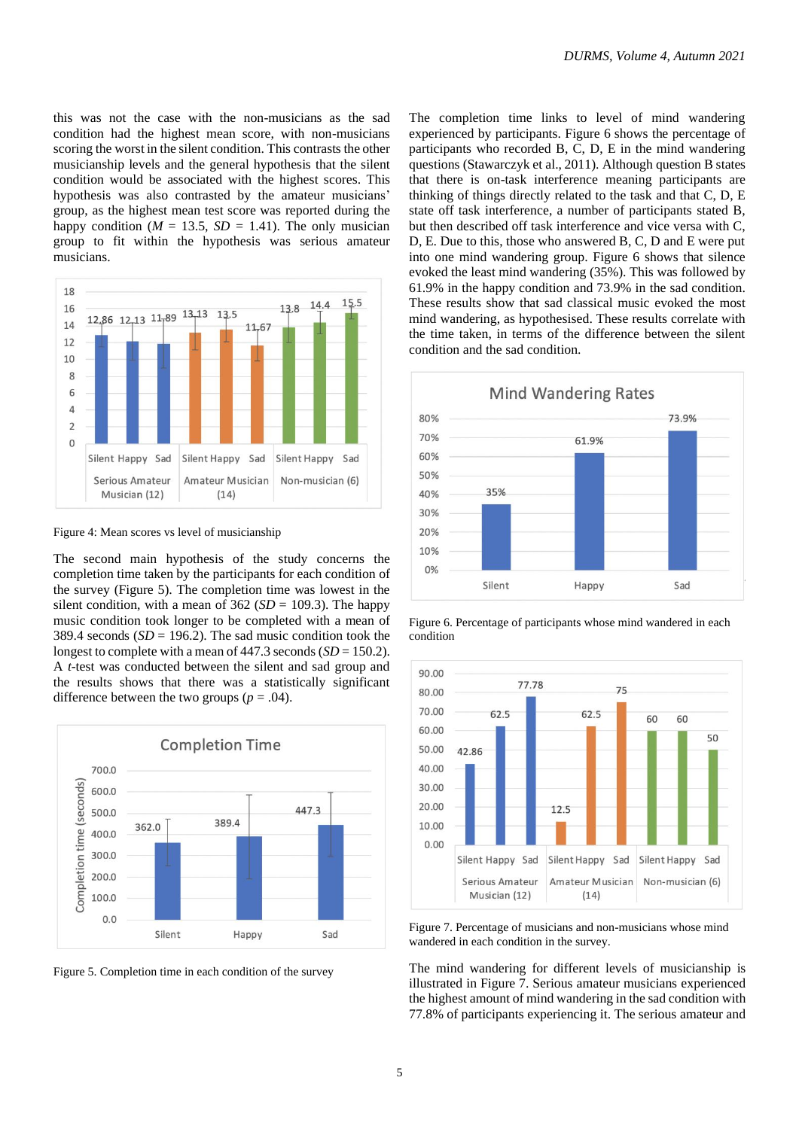this was not the case with the non-musicians as the sad condition had the highest mean score, with non-musicians scoring the worst in the silent condition. This contrasts the other musicianship levels and the general hypothesis that the silent condition would be associated with the highest scores. This hypothesis was also contrasted by the amateur musicians' group, as the highest mean test score was reported during the happy condition ( $M = 13.5$ ,  $SD = 1.41$ ). The only musician group to fit within the hypothesis was serious amateur musicians.



Figure 4: Mean scores vs level of musicianship

The second main hypothesis of the study concerns the completion time taken by the participants for each condition of the survey (Figure 5). The completion time was lowest in the silent condition, with a mean of  $362 (SD = 109.3)$ . The happy music condition took longer to be completed with a mean of 389.4 seconds  $(SD = 196.2)$ . The sad music condition took the longest to complete with a mean of  $447.3$  seconds  $(SD = 150.2)$ . A *t*-test was conducted between the silent and sad group and the results shows that there was a statistically significant difference between the two groups ( $p = .04$ ).





The completion time links to level of mind wandering experienced by participants. Figure 6 shows the percentage of participants who recorded B, C, D, E in the mind wandering questions (Stawarczyk et al., 2011). Although question B states that there is on-task interference meaning participants are thinking of things directly related to the task and that C, D, E state off task interference, a number of participants stated B, but then described off task interference and vice versa with C, D, E. Due to this, those who answered B, C, D and E were put into one mind wandering group. Figure 6 shows that silence evoked the least mind wandering (35%). This was followed by 61.9% in the happy condition and 73.9% in the sad condition. These results show that sad classical music evoked the most mind wandering, as hypothesised. These results correlate with the time taken, in terms of the difference between the silent condition and the sad condition.



Figure 6. Percentage of participants whose mind wandered in each condition



Figure 7. Percentage of musicians and non-musicians whose mind wandered in each condition in the survey.

The mind wandering for different levels of musicianship is illustrated in Figure 7. Serious amateur musicians experienced the highest amount of mind wandering in the sad condition with 77.8% of participants experiencing it. The serious amateur and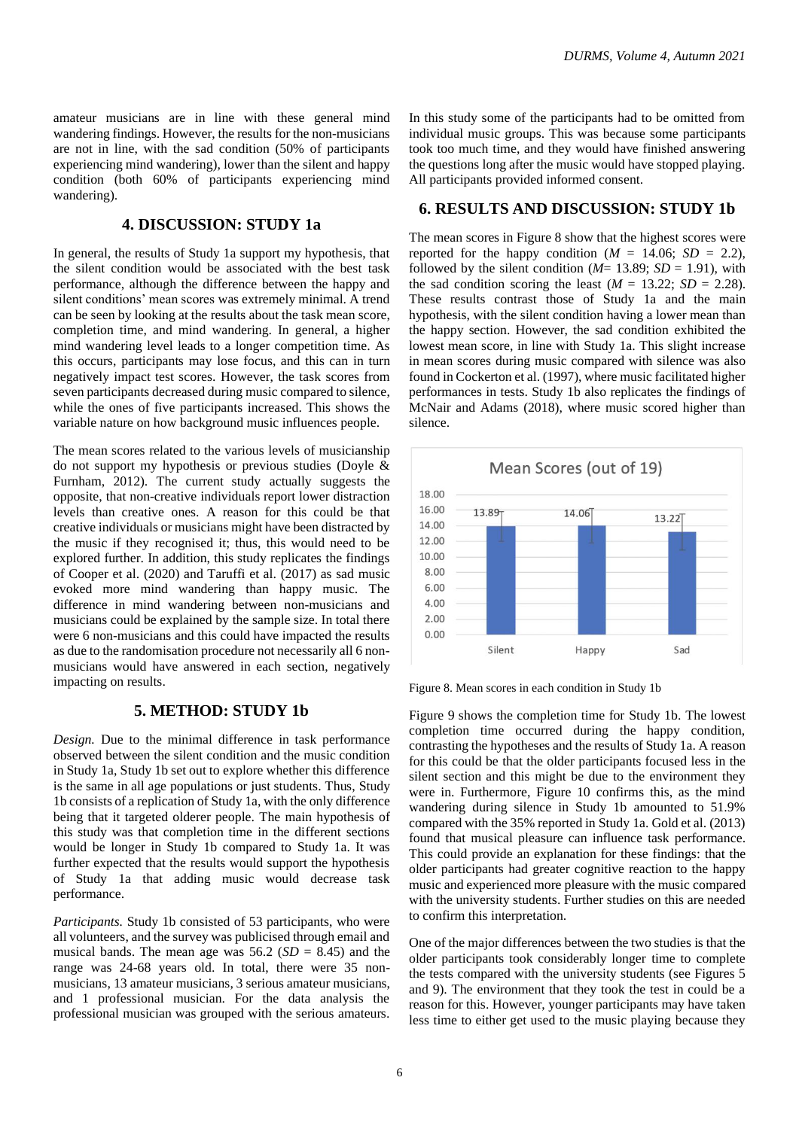amateur musicians are in line with these general mind wandering findings. However, the results for the non-musicians are not in line, with the sad condition (50% of participants experiencing mind wandering), lower than the silent and happy condition (both 60% of participants experiencing mind wandering).

## **4. DISCUSSION: STUDY 1a**

In general, the results of Study 1a support my hypothesis, that the silent condition would be associated with the best task performance, although the difference between the happy and silent conditions' mean scores was extremely minimal. A trend can be seen by looking at the results about the task mean score, completion time, and mind wandering. In general, a higher mind wandering level leads to a longer competition time. As this occurs, participants may lose focus, and this can in turn negatively impact test scores. However, the task scores from seven participants decreased during music compared to silence, while the ones of five participants increased. This shows the variable nature on how background music influences people.

The mean scores related to the various levels of musicianship do not support my hypothesis or previous studies (Doyle & Furnham, 2012). The current study actually suggests the opposite, that non-creative individuals report lower distraction levels than creative ones. A reason for this could be that creative individuals or musicians might have been distracted by the music if they recognised it; thus, this would need to be explored further. In addition, this study replicates the findings of Cooper et al. (2020) and Taruffi et al. (2017) as sad music evoked more mind wandering than happy music. The difference in mind wandering between non-musicians and musicians could be explained by the sample size. In total there were 6 non-musicians and this could have impacted the results as due to the randomisation procedure not necessarily all 6 nonmusicians would have answered in each section, negatively impacting on results.

#### **5. METHOD: STUDY 1b**

*Design.* Due to the minimal difference in task performance observed between the silent condition and the music condition in Study 1a, Study 1b set out to explore whether this difference is the same in all age populations or just students. Thus, Study 1b consists of a replication of Study 1a, with the only difference being that it targeted olderer people. The main hypothesis of this study was that completion time in the different sections would be longer in Study 1b compared to Study 1a. It was further expected that the results would support the hypothesis of Study 1a that adding music would decrease task performance.

*Participants.* Study 1b consisted of 53 participants, who were all volunteers, and the survey was publicised through email and musical bands. The mean age was  $56.2$  (*SD* = 8.45) and the range was 24-68 years old. In total, there were 35 nonmusicians, 13 amateur musicians, 3 serious amateur musicians, and 1 professional musician. For the data analysis the professional musician was grouped with the serious amateurs.

In this study some of the participants had to be omitted from individual music groups. This was because some participants took too much time, and they would have finished answering the questions long after the music would have stopped playing. All participants provided informed consent.

### **6. RESULTS AND DISCUSSION: STUDY 1b**

The mean scores in Figure 8 show that the highest scores were reported for the happy condition ( $M = 14.06$ ;  $SD = 2.2$ ), followed by the silent condition ( $M= 13.89$ ;  $SD = 1.91$ ), with the sad condition scoring the least  $(M = 13.22; SD = 2.28)$ . These results contrast those of Study 1a and the main hypothesis, with the silent condition having a lower mean than the happy section. However, the sad condition exhibited the lowest mean score, in line with Study 1a. This slight increase in mean scores during music compared with silence was also found in Cockerton et al. (1997), where music facilitated higher performances in tests. Study 1b also replicates the findings of McNair and Adams (2018), where music scored higher than silence.



Figure 8. Mean scores in each condition in Study 1b

Figure 9 shows the completion time for Study 1b. The lowest completion time occurred during the happy condition, contrasting the hypotheses and the results of Study 1a. A reason for this could be that the older participants focused less in the silent section and this might be due to the environment they were in. Furthermore, Figure 10 confirms this, as the mind wandering during silence in Study 1b amounted to 51.9% compared with the 35% reported in Study 1a. Gold et al. (2013) found that musical pleasure can influence task performance. This could provide an explanation for these findings: that the older participants had greater cognitive reaction to the happy music and experienced more pleasure with the music compared with the university students. Further studies on this are needed to confirm this interpretation.

One of the major differences between the two studies is that the older participants took considerably longer time to complete the tests compared with the university students (see Figures 5 and 9). The environment that they took the test in could be a reason for this. However, younger participants may have taken less time to either get used to the music playing because they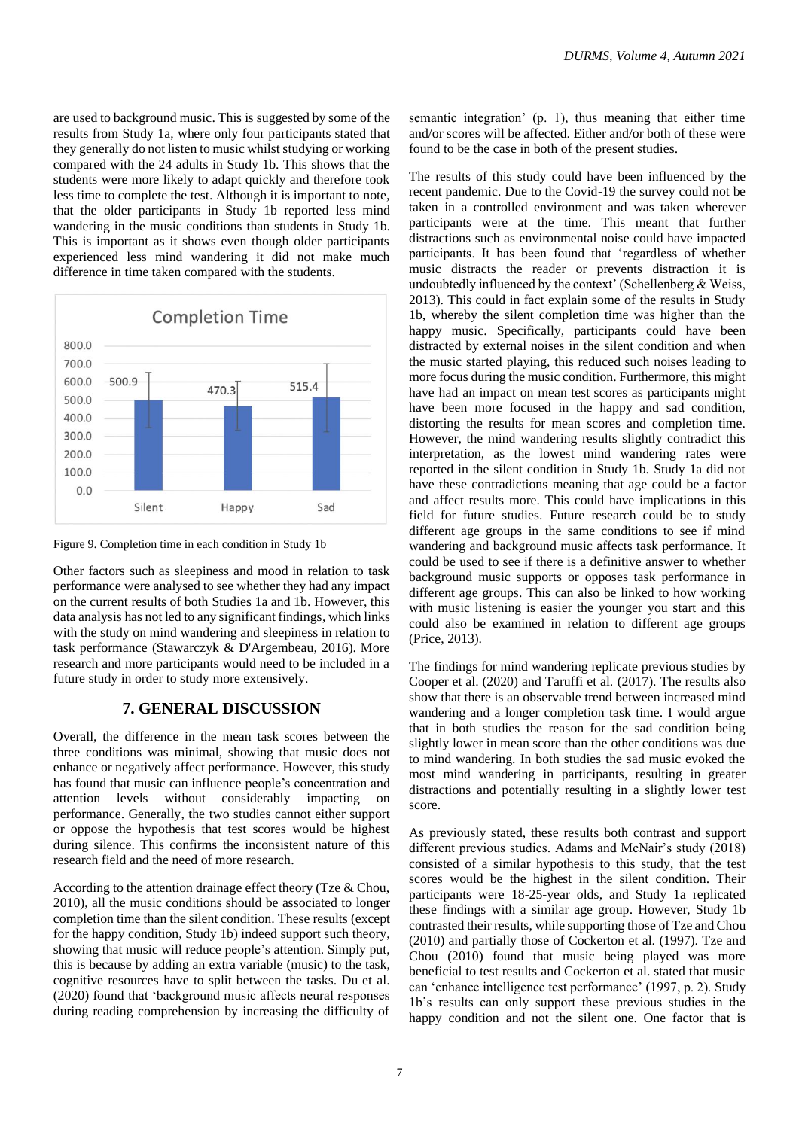are used to background music. This is suggested by some of the results from Study 1a, where only four participants stated that they generally do not listen to music whilst studying or working compared with the 24 adults in Study 1b. This shows that the students were more likely to adapt quickly and therefore took less time to complete the test. Although it is important to note, that the older participants in Study 1b reported less mind wandering in the music conditions than students in Study 1b. This is important as it shows even though older participants experienced less mind wandering it did not make much difference in time taken compared with the students.



Figure 9. Completion time in each condition in Study 1b

Other factors such as sleepiness and mood in relation to task performance were analysed to see whether they had any impact on the current results of both Studies 1a and 1b. However, this data analysis has not led to any significant findings, which links with the study on mind wandering and sleepiness in relation to task performance (Stawarczyk & D'Argembeau, 2016). More research and more participants would need to be included in a future study in order to study more extensively.

### **7. GENERAL DISCUSSION**

Overall, the difference in the mean task scores between the three conditions was minimal, showing that music does not enhance or negatively affect performance. However, this study has found that music can influence people's concentration and attention levels without considerably impacting on performance. Generally, the two studies cannot either support or oppose the hypothesis that test scores would be highest during silence. This confirms the inconsistent nature of this research field and the need of more research.

According to the attention drainage effect theory (Tze & Chou, 2010), all the music conditions should be associated to longer completion time than the silent condition. These results (except for the happy condition, Study 1b) indeed support such theory, showing that music will reduce people's attention. Simply put, this is because by adding an extra variable (music) to the task, cognitive resources have to split between the tasks. Du et al. (2020) found that 'background music affects neural responses during reading comprehension by increasing the difficulty of semantic integration' (p. 1), thus meaning that either time and/or scores will be affected. Either and/or both of these were found to be the case in both of the present studies.

The results of this study could have been influenced by the recent pandemic. Due to the Covid-19 the survey could not be taken in a controlled environment and was taken wherever participants were at the time. This meant that further distractions such as environmental noise could have impacted participants. It has been found that 'regardless of whether music distracts the reader or prevents distraction it is undoubtedly influenced by the context' (Schellenberg & Weiss, 2013). This could in fact explain some of the results in Study 1b, whereby the silent completion time was higher than the happy music. Specifically, participants could have been distracted by external noises in the silent condition and when the music started playing, this reduced such noises leading to more focus during the music condition. Furthermore, this might have had an impact on mean test scores as participants might have been more focused in the happy and sad condition, distorting the results for mean scores and completion time. However, the mind wandering results slightly contradict this interpretation, as the lowest mind wandering rates were reported in the silent condition in Study 1b. Study 1a did not have these contradictions meaning that age could be a factor and affect results more. This could have implications in this field for future studies. Future research could be to study different age groups in the same conditions to see if mind wandering and background music affects task performance. It could be used to see if there is a definitive answer to whether background music supports or opposes task performance in different age groups. This can also be linked to how working with music listening is easier the younger you start and this could also be examined in relation to different age groups (Price, 2013).

The findings for mind wandering replicate previous studies by Cooper et al. (2020) and Taruffi et al. (2017). The results also show that there is an observable trend between increased mind wandering and a longer completion task time. I would argue that in both studies the reason for the sad condition being slightly lower in mean score than the other conditions was due to mind wandering. In both studies the sad music evoked the most mind wandering in participants, resulting in greater distractions and potentially resulting in a slightly lower test score.

As previously stated, these results both contrast and support different previous studies. Adams and McNair's study (2018) consisted of a similar hypothesis to this study, that the test scores would be the highest in the silent condition. Their participants were 18-25-year olds, and Study 1a replicated these findings with a similar age group. However, Study 1b contrasted their results, while supporting those of Tze and Chou (2010) and partially those of Cockerton et al. (1997). Tze and Chou (2010) found that music being played was more beneficial to test results and Cockerton et al. stated that music can 'enhance intelligence test performance' (1997, p. 2). Study 1b's results can only support these previous studies in the happy condition and not the silent one. One factor that is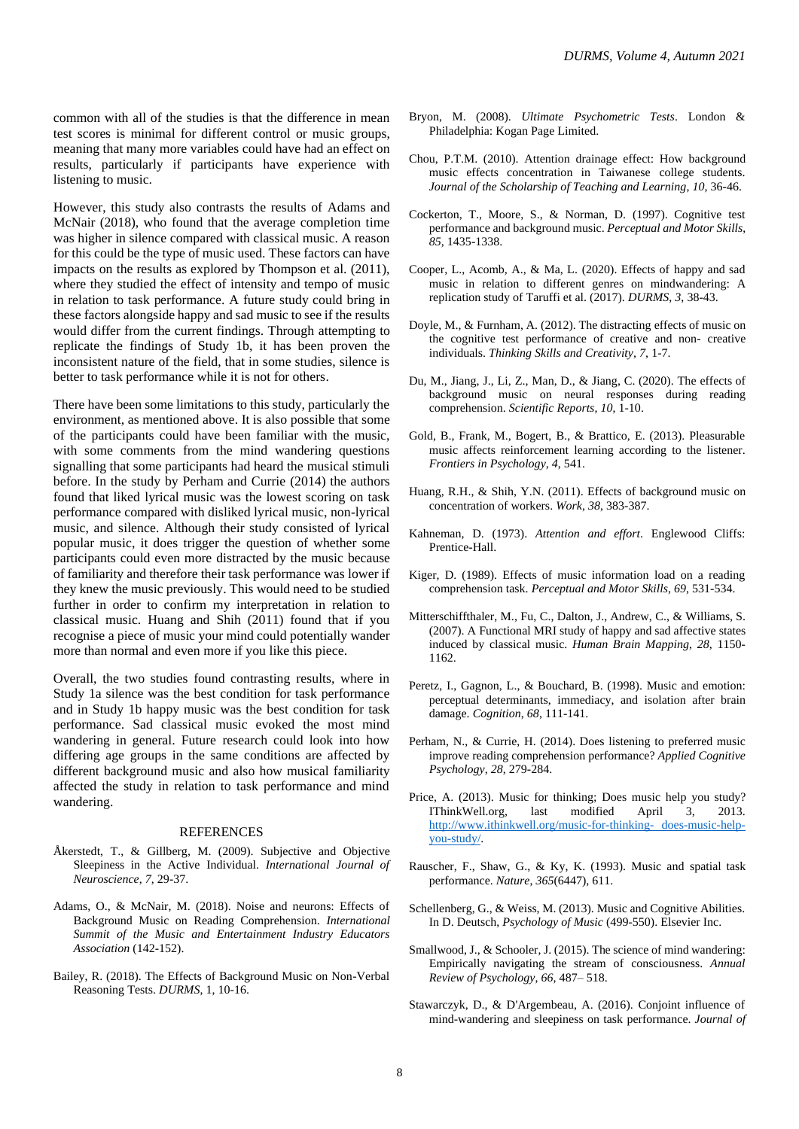However, this study also contrasts the results of Adams and McNair (2018), who found that the average completion time was higher in silence compared with classical music. A reason for this could be the type of music used. These factors can have impacts on the results as explored by Thompson et al. (2011), where they studied the effect of intensity and tempo of music in relation to task performance. A future study could bring in these factors alongside happy and sad music to see if the results would differ from the current findings. Through attempting to replicate the findings of Study 1b, it has been proven the inconsistent nature of the field, that in some studies, silence is better to task performance while it is not for others.

There have been some limitations to this study, particularly the environment, as mentioned above. It is also possible that some of the participants could have been familiar with the music, with some comments from the mind wandering questions signalling that some participants had heard the musical stimuli before. In the study by Perham and Currie (2014) the authors found that liked lyrical music was the lowest scoring on task performance compared with disliked lyrical music, non-lyrical music, and silence. Although their study consisted of lyrical popular music, it does trigger the question of whether some participants could even more distracted by the music because of familiarity and therefore their task performance was lower if they knew the music previously. This would need to be studied further in order to confirm my interpretation in relation to classical music. Huang and Shih (2011) found that if you recognise a piece of music your mind could potentially wander more than normal and even more if you like this piece.

Overall, the two studies found contrasting results, where in Study 1a silence was the best condition for task performance and in Study 1b happy music was the best condition for task performance. Sad classical music evoked the most mind wandering in general. Future research could look into how differing age groups in the same conditions are affected by different background music and also how musical familiarity affected the study in relation to task performance and mind wandering.

#### **REFERENCES**

- Åkerstedt, T., & Gillberg, M. (2009). Subjective and Objective Sleepiness in the Active Individual. *International Journal of Neuroscience*, *7*, 29-37.
- Adams, O., & McNair, M. (2018). Noise and neurons: Effects of Background Music on Reading Comprehension. *International Summit of the Music and Entertainment Industry Educators Association* (142-152).
- Bailey, R. (2018). The Effects of Background Music on Non-Verbal Reasoning Tests. *DURMS*, 1, 10-16.
- Bryon, M. (2008). *Ultimate Psychometric Tests*. London & Philadelphia: Kogan Page Limited.
- Chou, P.T.M. (2010). Attention drainage effect: How background music effects concentration in Taiwanese college students. *Journal of the Scholarship of Teaching and Learning*, *10*, 36-46.
- Cockerton, T., Moore, S., & Norman, D. (1997). Cognitive test performance and background music. *Perceptual and Motor Skills*, *85*, 1435-1338.
- Cooper, L., Acomb, A., & Ma, L. (2020). Effects of happy and sad music in relation to different genres on mindwandering: A replication study of Taruffi et al. (2017). *DURMS*, *3*, 38-43.
- Doyle, M., & Furnham, A. (2012). The distracting effects of music on the cognitive test performance of creative and non- creative individuals. *Thinking Skills and Creativity*, *7*, 1-7.
- Du, M., Jiang, J., Li, Z., Man, D., & Jiang, C. (2020). The effects of background music on neural responses during reading comprehension. *Scientific Reports*, *10*, 1-10.
- Gold, B., Frank, M., Bogert, B., & Brattico, E. (2013). Pleasurable music affects reinforcement learning according to the listener. *Frontiers in Psychology*, *4*, 541.
- Huang, R.H., & Shih, Y.N. (2011). Effects of background music on concentration of workers. *Work*, *38*, 383-387.
- Kahneman, D. (1973). *Attention and effort*. Englewood Cliffs: Prentice-Hall.
- Kiger, D. (1989). Effects of music information load on a reading comprehension task. *Perceptual and Motor Skills*, *69*, 531-534.
- Mitterschiffthaler, M., Fu, C., Dalton, J., Andrew, C., & Williams, S. (2007). A Functional MRI study of happy and sad affective states induced by classical music. *Human Brain Mapping*, *28*, 1150- 1162.
- Peretz, I., Gagnon, L., & Bouchard, B. (1998). Music and emotion: perceptual determinants, immediacy, and isolation after brain damage. *Cognition*, *68*, 111-141.
- Perham, N., & Currie, H. (2014). Does listening to preferred music improve reading comprehension performance? *Applied Cognitive Psychology*, *28*, 279-284.
- Price, A. (2013). Music for thinking; Does music help you study? IThinkWell.org, last modified April 3, 2013. [http://www.ithinkwell.org/music-for-thinking-](http://www.ithinkwell.org/music-for-thinking-%20does-music-help-you-study/) does-music-help[you-study/.](http://www.ithinkwell.org/music-for-thinking-%20does-music-help-you-study/)
- Rauscher, F., Shaw, G., & Ky, K. (1993). Music and spatial task performance. *Nature*, *365*(6447), 611.
- Schellenberg, G., & Weiss, M. (2013). Music and Cognitive Abilities. In D. Deutsch, *Psychology of Music* (499-550). Elsevier Inc.
- Smallwood, J., & Schooler, J. (2015). The science of mind wandering: Empirically navigating the stream of consciousness. *Annual Review of Psychology*, *66*, 487– 518.
- Stawarczyk, D., & D'Argembeau, A. (2016). Conjoint influence of mind-wandering and sleepiness on task performance. *Journal of*